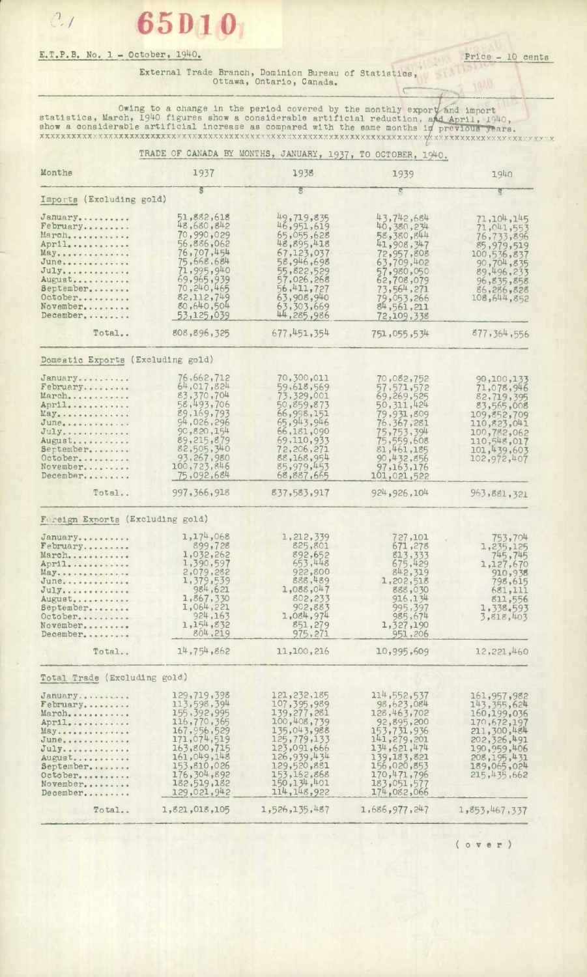## $\mathcal{C}$ . **65D10**

## E.T.P.B. No. 1 - October, 1940. Price - 10 cents

 $\sqrt{2}$ 

## External Trade Branch, Dominion Bureau of Statistics, Ottawa, Ontario, Canada.

Owing to a change in the period covered by the monthly export and import statistics, March, 1940 figures show a considerable artificial reduction, and April, 1940, show a considerable artificial increase as compared with the same months in previous years. **•XXXXXXXXXXXXXXVXXYX** 

|                                                                                                                                               | TRADE OF CANADA BY MONTHS, JANUARY, 1937, TO OCTOBER, 1940.                                                                                                                          |                                                                                                                                                                                          |                                                                                                                                                                                  |                                                                                                                                                        |
|-----------------------------------------------------------------------------------------------------------------------------------------------|--------------------------------------------------------------------------------------------------------------------------------------------------------------------------------------|------------------------------------------------------------------------------------------------------------------------------------------------------------------------------------------|----------------------------------------------------------------------------------------------------------------------------------------------------------------------------------|--------------------------------------------------------------------------------------------------------------------------------------------------------|
| Monthe                                                                                                                                        | 1937                                                                                                                                                                                 | 1938                                                                                                                                                                                     | 1939                                                                                                                                                                             | 1940                                                                                                                                                   |
| Imports (Excluding gold)                                                                                                                      | s                                                                                                                                                                                    | S                                                                                                                                                                                        | $\mathfrak{P}_j$                                                                                                                                                                 | W                                                                                                                                                      |
| January<br>February<br>March<br>April<br>May<br>June<br>$July \ldots \ldots \ldots$<br>August<br>September<br>October<br>November<br>December | 51,882,618<br>48,680,842<br>70,990,029<br>56,886,062<br>76,707,454<br>75,668,684<br>71,995,940<br>69,965,939<br>70, 240, 465<br>82,112,749<br>80,640,504<br>53,125,039               | 49,719,835<br>46, 951, 619<br>65,055,628<br>48,895,418<br>67,123,037<br>58,946,698<br>55,822,529<br>57,026,268<br>56,411,727<br>63,908,940<br>63,303,669<br>44,285,986                   | 43,742,684<br>40,380,234<br>58,380,844<br>41,908,347<br>72,957,808<br>63,709,402<br>57,980,050<br>62,708,079<br>73,564,271<br>79,053,266<br>84,561,211<br>72,109,338             | 71,104,145<br>71,041,553<br>76,733,896<br>85,979,519<br>100,536,837<br>90,704,835<br>89,496,233<br>96,835,858<br>86,286,828<br>108,644,852             |
| Total                                                                                                                                         | 808,896,325                                                                                                                                                                          | 677, 451, 354                                                                                                                                                                            | 751,055,534                                                                                                                                                                      | 877, 364, 556                                                                                                                                          |
| Domestic Exports (Excluding gold)                                                                                                             |                                                                                                                                                                                      |                                                                                                                                                                                          |                                                                                                                                                                                  |                                                                                                                                                        |
| January<br>February<br>March<br>April<br>May<br>June<br>$July$<br>August<br>September<br>October<br>November<br>December                      | 76,662,712<br>64,017,824<br>83,370,704<br>58,493,706<br>89,169,793<br>94,026,296<br>90,820,154<br>89,215,879<br>82,505,340<br>93,267,980<br>100,723,846<br>75,092,684                | 70,300,011<br>59,618,569<br>73,329,001<br>50,859,873<br>66,998,151<br>65,943,946<br>66,181,090<br>69,110,933<br>72,206,271<br>88,168,954<br>85,979,453<br>68,887,665                     | 70,082,752<br>57, 571, 572<br>69,269,525<br>50, 311, 424<br>79,931,809<br>76, 367, 281<br>75,753,394<br>75,559,608<br>81,461,185<br>90,432,856<br>97, 163, 176<br>101,021,522    | 90,100,133<br>71,078,946<br>82,719,395<br>83,565,008<br>109, 852, 709<br>110,823,041<br>100,782,062<br>110,548,017<br>101,439,603<br>102,972,407       |
| Total                                                                                                                                         | 997, 366, 918                                                                                                                                                                        | 837,583,917                                                                                                                                                                              | 924, 926, 104                                                                                                                                                                    | 963,881,321                                                                                                                                            |
| Foreign Exports (Excluding gold)                                                                                                              |                                                                                                                                                                                      |                                                                                                                                                                                          |                                                                                                                                                                                  |                                                                                                                                                        |
| January<br>February<br>March<br>April<br>May<br>June<br>July<br>August<br>September<br>October<br>November<br>December                        | 1,174,068<br>899,728<br>1,032,262<br>1,390,597<br>2,079,282<br>1,379,539<br>984,621<br>1,867,330<br>1,064,221<br>924, 163<br>1, 154, 832<br>804,219                                  | 1,212,339<br>825,801<br>892,652<br>653,448<br>922,800<br>888,489<br>1,088,047<br>802,233<br>902,883<br>1,084,974<br>851,279<br>975,271                                                   | 727,101<br>671,278<br>813,333<br>675,429<br>842,319<br>1,202,518<br>888,030<br>916, 134<br>995,397<br>985,674<br>1,327,190<br>951,206                                            | 753,704<br>1,235,125<br>745,745<br>1,127,670<br>910,938<br>798,615<br>681,111<br>811,556<br>1,338,593<br>3,818,403                                     |
| Total                                                                                                                                         | 14,754,862                                                                                                                                                                           | 11,100,216                                                                                                                                                                               | 10,995,609                                                                                                                                                                       | 12,221,460                                                                                                                                             |
| Total Trade (Excluding gold.)                                                                                                                 |                                                                                                                                                                                      |                                                                                                                                                                                          |                                                                                                                                                                                  |                                                                                                                                                        |
| January<br>February<br>March<br>April<br>May<br>June<br>$July$<br>August<br>September<br>October<br>November<br>December                      | 129,719,398<br>113,598,394<br>155, 392, 995<br>116,770,365<br>167, 956, 529<br>171,074,519<br>163,800,715<br>161,049,148<br>153,810,026<br>176,304,892<br>182,519,182<br>129,021,942 | 121,232,185<br>107, 395, 989<br>139,277,281<br>100,408,739<br>135,043,988<br>125,779,133<br>123,091,666<br>126,939,434<br>129,520,881<br>153, 162, 868<br>150, 134, 401<br>114, 148, 922 | 114,552,537<br>98,623,084<br>128, 463, 702<br>92,895,200<br>153,731,936<br>141,279,201<br>134,621,474<br>139,183,821<br>156,020,853<br>170,471,796<br>183,051,577<br>174,082,066 | 161,957,982<br>143, 355, 624<br>160,199,036<br>170,672,197<br>211,300,484<br>202,326,491<br>190,959,406<br>208, 195, 431<br>189,065,024<br>215,435,662 |
| Total                                                                                                                                         | 1,821,018,105                                                                                                                                                                        | 1,526,135,487                                                                                                                                                                            | 1,686,977,247                                                                                                                                                                    | 1,853,467,337                                                                                                                                          |

( **o v** e r )